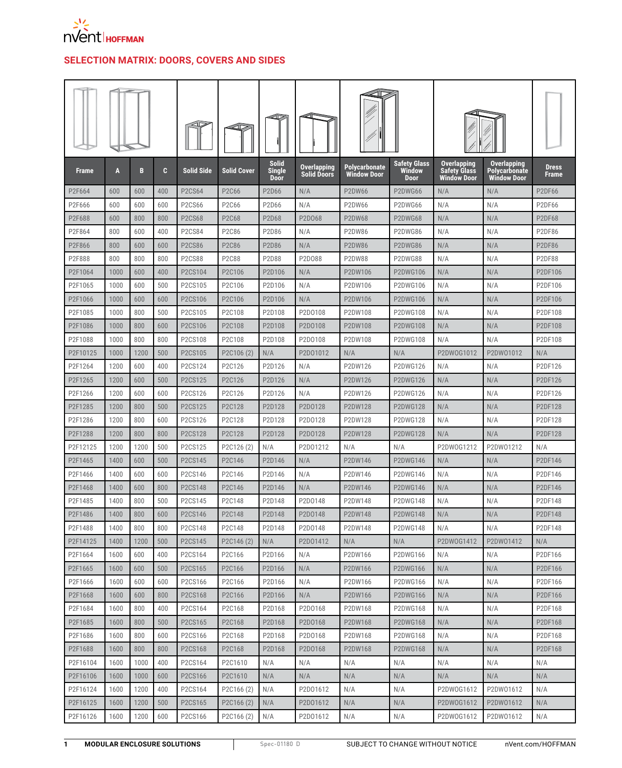

## **SELECTION MATRIX: DOORS, COVERS AND SIDES**

| <b>Frame</b>        | A            | B           | C          | <b>Solid Side</b>                | <b>Solid Cover</b>   | <b>Solid</b><br><b>Single</b><br><b>Door</b> | Overlapping<br><b>Solid Doors</b> | Polycarbonate<br><b>Window Door</b> | Safety Glass<br>Window<br><b>Door</b> | <b>Overlapping</b><br><b>Safety Glass</b><br><b>Window Door</b> | <b>Overlapping</b><br><b>Polycarbonate</b><br><b>Window Door</b> | <b>Dress</b><br>Frame |
|---------------------|--------------|-------------|------------|----------------------------------|----------------------|----------------------------------------------|-----------------------------------|-------------------------------------|---------------------------------------|-----------------------------------------------------------------|------------------------------------------------------------------|-----------------------|
| P2F664              | 600          | 600         | 400        | <b>P2CS64</b>                    | P2C66                | P2D66                                        | N/A                               | <b>P2DW66</b>                       | P2DWG66                               | N/A                                                             | N/A                                                              | <b>P2DF66</b>         |
| P2F666              | 600          | 600         | 600        | <b>P2CS66</b>                    | P2C66                | P2D66                                        | N/A                               | P2DW66                              | P2DWG66                               | N/A                                                             | N/A                                                              | <b>P2DF66</b>         |
| P2F688              | 600          | 800         | 800        | <b>P2CS68</b>                    | P2C68                | P2D68                                        | P2D068                            | <b>P2DW68</b>                       | P2DWG68                               | N/A                                                             | N/A                                                              | <b>P2DF68</b>         |
| P2F864              | 800          | 600         | 400        | <b>P2CS84</b>                    | P2C86                | P2D86                                        | N/A                               | P2DW86                              | P2DWG86                               | N/A                                                             | N/A                                                              | P2DF86                |
| P2F866              | 800          | 600         | 600        | <b>P2CS86</b>                    | <b>P2C86</b>         | P2D86                                        | N/A                               | <b>P2DW86</b>                       | P2DWG86                               | N/A                                                             | N/A                                                              | <b>P2DF86</b>         |
| P2F888              | 800          | 800         | 800        | <b>P2CS88</b>                    | P2C88                | P2D88                                        | P2D088                            | <b>P2DW88</b>                       | P2DWG88                               | N/A                                                             | N/A                                                              | P2DF88                |
| P2F1064             | 1000         | 600         | 400        | P2CS104                          | P2C106               | P2D106                                       | N/A                               | P2DW106                             | <b>P2DWG106</b>                       | N/A                                                             | N/A                                                              | P2DF106               |
| P2F1065             | 1000         | 600         | 500        | P2CS105                          | P2C106               | P2D106                                       | N/A                               | P2DW106                             | P2DWG106                              | N/A                                                             | N/A                                                              | P2DF106               |
| P2F1066             | 1000         | 600         | 600        | P2CS106                          | P2C106               | P2D106                                       | N/A                               | P2DW106                             | P2DWG106                              | N/A                                                             | N/A                                                              | P2DF106               |
| P2F1085             | 1000         | 800         | 500        | P2CS105                          | P2C108               | P2D108                                       | P2D0108                           | P2DW108                             | P2DWG108                              | N/A                                                             | N/A                                                              | P2DF108               |
| P2F1086             | 1000         | 800         | 600        | P2CS106                          | P2C108               | P2D108                                       | P2D0108                           | P2DW108                             | <b>P2DWG108</b>                       | N/A                                                             | N/A                                                              | P2DF108               |
| P2F1088             | 1000         | 800         | 800        | P2CS108                          | P2C108               | P2D108                                       | P2D0108                           | P2DW108                             | P2DWG108                              | N/A                                                             | N/A                                                              | P2DF108               |
| P2F10125            | 1000         | 1200        | 500        | P <sub>2</sub> CS <sub>105</sub> | P2C106 (2)           | N/A                                          | P2D01012                          | N/A                                 | N/A                                   | P2DW0G1012                                                      | P2DW01012                                                        | N/A                   |
| P2F1264             | 1200         | 600         | 400        | P2CS124                          | P2C126               | P2D126                                       | N/A                               | P2DW126                             | P2DWG126                              | N/A                                                             | N/A                                                              | P2DF126               |
| P2F1265             | 1200         | 600         | 500        | P2CS125                          | P2C126               | P2D126                                       | N/A                               | P2DW126                             | <b>P2DWG126</b>                       | N/A                                                             | N/A                                                              | P2DF126               |
| P2F1266             | 1200         | 600         | 600        | P2CS126                          | P2C126               | P2D126                                       | N/A                               | P2DW126                             | P2DWG126                              | N/A                                                             | N/A                                                              | P2DF126               |
| P2F1285             | 1200         | 800         | 500        | P2CS125                          | P2C128               | P2D128                                       | P2D0128                           | P2DW128                             | <b>P2DWG128</b>                       | N/A                                                             | N/A                                                              | P2DF128               |
| P2F1286             | 1200         | 800         | 600        | P2CS126                          | P2C128               | P2D128                                       | P2D0128                           | P2DW128                             | <b>P2DWG128</b>                       | N/A                                                             | N/A                                                              | P2DF128               |
| P2F1288             | 1200         | 800         | 800        | P2CS128                          | P2C128               | P2D128                                       | P2D0128<br>P2D01212               | P2DW128                             | P2DWG128                              | N/A<br>P2DW0G1212                                               | N/A<br>P2DW01212                                                 | P2DF128               |
| P2F12125<br>P2F1465 | 1200<br>1400 | 1200<br>600 | 500<br>500 | P2CS125<br>P2CS145               | P2C126 (2)<br>P2C146 | N/A<br>P2D146                                | N/A                               | N/A<br>P2DW146                      | N/A<br><b>P2DWG146</b>                |                                                                 | N/A                                                              | N/A<br>P2DF146        |
| P2F1466             | 1400         | 600         | 600        | P2CS146                          | P2C146               | P2D146                                       | N/A                               | P2DW146                             | P2DWG146                              | N/A<br>N/A                                                      | N/A                                                              | P2DF146               |
| P2F1468             | 1400         | 600         | 800        | P2CS148                          | P2C146               | P2D146                                       | N/A                               | P2DW146                             | P2DWG146                              | N/A                                                             | N/A                                                              | P2DF146               |
| P2F1485             | 1400         | 800         | 500        | P2CS145                          | P2C148               | P2D148                                       | P2D0148                           | P2DW148                             | P2DWG148                              | N/A                                                             | N/A                                                              | P2DF148               |
| P2F1486             | 1400         | 800         | 600        | P2CS146                          | P2C148               | P2D148                                       | P2D0148                           | P2DW148                             | <b>P2DWG148</b>                       | N/A                                                             | N/A                                                              | P2DF148               |
| P2F1488             | 1400         | 800         | 800        | P2CS148                          | P2C148               | P2D148                                       | P2D0148                           | P2DW148                             | P2DWG148                              | N/A                                                             | N/A                                                              | P2DF148               |
| P2F14125            | 1400         | 1200        | 500        | P2CS145                          | P2C146 (2)           | N/A                                          | P2D01412                          | N/A                                 | N/A                                   | P2DW0G1412                                                      | P2DW01412                                                        | N/A                   |
| P2F1664             | 1600         | 600         | 400        | P2CS164                          | P2C166               | P2D166                                       | N/A                               | P2DW166                             | P2DWG166                              | N/A                                                             | N/A                                                              | P2DF166               |
| P2F1665             | 1600         | 600         | 500        | P2CS165                          | P2C166               | P2D166                                       | N/A                               | P2DW166                             | P2DWG166                              | N/A                                                             | N/A                                                              | P2DF166               |
| P2F1666             | 1600         | 600         | 600        | P2CS166                          | P2C166               | P2D166                                       | N/A                               | P2DW166                             | P2DWG166                              | N/A                                                             | N/A                                                              | P2DF166               |
| P2F1668             | 1600         | 600         | 800        | P2CS168                          | P2C166               | P2D166                                       | N/A                               | P2DW166                             | P2DWG166                              | N/A                                                             | N/A                                                              | P2DF166               |
| P2F1684             | 1600         | 800         | 400        | P2CS164                          | P2C168               | P2D168                                       | P2D0168                           | P2DW168                             | P2DWG168                              | N/A                                                             | N/A                                                              | P2DF168               |
| P2F1685             | 1600         | 800         | 500        | P2CS165                          | P2C168               | P2D168                                       | P2D0168                           | P2DW168                             | P2DWG168                              | N/A                                                             | N/A                                                              | P2DF168               |
| P2F1686             | 1600         | 800         | 600        | P2CS166                          | P2C168               | P2D168                                       | P2D0168                           | P2DW168                             | P2DWG168                              | N/A                                                             | N/A                                                              | P2DF168               |
| P2F1688             | 1600         | 800         | 800        | P2CS168                          | P2C168               | P2D168                                       | P2D0168                           | P2DW168                             | P2DWG168                              | N/A                                                             | N/A                                                              | P2DF168               |
| P2F16104            | 1600         | 1000        | 400        | P2CS164                          | P2C1610              | N/A                                          | N/A                               | N/A                                 | N/A                                   | N/A                                                             | N/A                                                              | N/A                   |
| P2F16106            | 1600         | 1000        | 600        | P2CS166                          | P2C1610              | N/A                                          | N/A                               | N/A                                 | N/A                                   | N/A                                                             | N/A                                                              | N/A                   |
| P2F16124            | 1600         | 1200        | 400        | P2CS164                          | P2C166(2)            | N/A                                          | P2D01612                          | N/A                                 | N/A                                   | P2DW0G1612                                                      | P2DW01612                                                        | N/A                   |
| P2F16125            | 1600         | 1200        | 500        | P2CS165                          | P2C166(2)            | N/A                                          | P2D01612                          | N/A                                 | N/A                                   | P2DW0G1612                                                      | P2DW01612                                                        | N/A                   |
| P2F16126            | 1600         | 1200        | 600        | P2CS166                          | P2C166 (2)           | N/A                                          | P2D01612                          | N/A                                 | N/A                                   | P2DW0G1612                                                      | P2DW01612                                                        | N/A                   |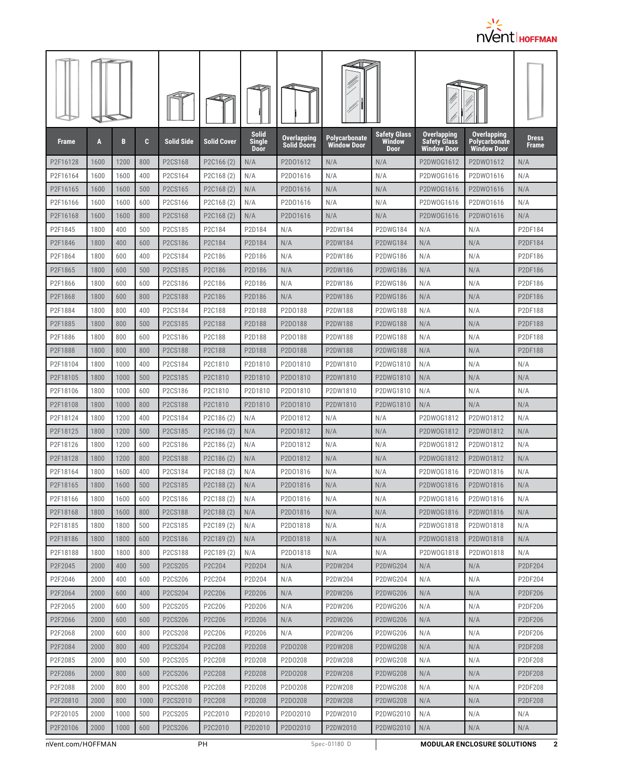

| <b>Frame</b> | A    | B    | C    | <b>Solid Side</b>                | <b>Solid Cover</b>                  | <b>Solid</b><br><b>Single</b><br><b>Door</b> | Overlapping<br><b>Solid Doors</b> | <b>Polycarbonate</b><br><b>Window Door</b> | <b>Safety Glass</b><br><b>Window</b><br>Door | Overlapping<br><b>Safety Glass</b><br><b>Window Door</b> | <b>Overlapping</b><br><b>Polycarbonate</b><br><b>Window Door</b> | <b>Dress</b><br><b>Frame</b> |
|--------------|------|------|------|----------------------------------|-------------------------------------|----------------------------------------------|-----------------------------------|--------------------------------------------|----------------------------------------------|----------------------------------------------------------|------------------------------------------------------------------|------------------------------|
| P2F16128     | 1600 | 1200 | 800  | P2CS168                          | P2C166 (2)                          | N/A                                          | P2D01612                          | N/A                                        | N/A                                          | P2DW0G1612                                               | P2DW01612                                                        | N/A                          |
| P2F16164     | 1600 | 1600 | 400  | P2CS164                          | P2C168 (2)                          | N/A                                          | P2D01616                          | N/A                                        | N/A                                          | P2DW0G1616                                               | P2DW01616                                                        | N/A                          |
| P2F16165     | 1600 | 1600 | 500  | P2CS165                          | P <sub>2</sub> C <sub>168</sub> (2) | N/A                                          | P2D01616                          | N/A                                        | N/A                                          | P2DW0G1616                                               | P2DW01616                                                        | N/A                          |
| P2F16166     | 1600 | 1600 | 600  | P2CS166                          | P2C168 (2)                          | N/A                                          | P2D01616                          | N/A                                        | N/A                                          | P2DW0G1616                                               | P2DW01616                                                        | N/A                          |
| P2F16168     | 1600 | 1600 | 800  | P2CS168                          | P2C168 (2)                          | N/A                                          | P2D01616                          | N/A                                        | N/A                                          | P2DW0G1616                                               | P2DW01616                                                        | N/A                          |
| P2F1845      | 1800 | 400  | 500  | P2CS185                          | P2C184                              | P2D184                                       | N/A                               | P2DW184                                    | P2DWG184                                     | N/A                                                      | N/A                                                              | P2DF184                      |
| P2F1846      | 1800 | 400  | 600  | P2CS186                          | P2C184                              | P2D184                                       | N/A                               | P2DW184                                    | <b>P2DWG184</b>                              | N/A                                                      | N/A                                                              | P2DF184                      |
| P2F1864      | 1800 | 600  | 400  | P2CS184                          | P2C186                              | P2D186                                       | N/A                               | P2DW186                                    | P2DWG186                                     | N/A                                                      | N/A                                                              | P2DF186                      |
| P2F1865      | 1800 | 600  | 500  | P2CS185                          | P2C186                              | P2D186                                       | N/A                               | P2DW186                                    | <b>P2DWG186</b>                              | N/A                                                      | N/A                                                              | P2DF186                      |
| P2F1866      | 1800 | 600  | 600  | P2CS186                          | P2C186                              | P2D186                                       | N/A                               | P2DW186                                    | P2DWG186                                     | N/A                                                      | N/A                                                              | P2DF186                      |
| P2F1868      | 1800 | 600  | 800  | P2CS188                          | P2C186                              | P2D186                                       | N/A                               | P2DW186                                    | P2DWG186                                     | N/A                                                      | N/A                                                              | P2DF186                      |
| P2F1884      | 1800 | 800  | 400  | P2CS184                          | P2C188                              | P2D188                                       | P2D0188                           | P2DW188                                    | <b>P2DWG188</b>                              | N/A                                                      | N/A                                                              | P2DF188                      |
| P2F1885      | 1800 | 800  | 500  | P2CS185                          | P2C188                              | P2D188                                       | P2D0188                           | P2DW188                                    | <b>P2DWG188</b>                              | N/A                                                      | N/A                                                              | P2DF188                      |
| P2F1886      | 1800 | 800  | 600  | P2CS186                          | P2C188                              | P2D188                                       | P2D0188                           | P2DW188                                    | <b>P2DWG188</b>                              | N/A                                                      | N/A                                                              | P2DF188                      |
| P2F1888      | 1800 | 800  | 800  | P <sub>2</sub> CS <sub>188</sub> | P <sub>2</sub> C <sub>188</sub>     | P <sub>2</sub> D <sub>188</sub>              | P2D0188                           | P2DW188                                    | <b>P2DWG188</b>                              | N/A                                                      | N/A                                                              | P2DF188                      |
| P2F18104     | 1800 | 1000 | 400  | P2CS184                          | P2C1810                             | P2D1810                                      | P2D01810                          | P2DW1810                                   | P2DWG1810                                    | N/A                                                      | N/A                                                              | N/A                          |
| P2F18105     | 1800 | 1000 | 500  | P2CS185                          | P2C1810                             | P2D1810                                      | P2D01810                          | P2DW1810                                   | P2DWG1810                                    | N/A                                                      | N/A                                                              | N/A                          |
| P2F18106     | 1800 | 1000 | 600  | P2CS186                          | P2C1810                             | P2D1810                                      | P2D01810                          | P2DW1810                                   | P2DWG1810                                    | N/A                                                      | N/A                                                              | N/A                          |
| P2F18108     | 1800 | 1000 | 800  | P2CS188                          | P2C1810                             | P2D1810                                      | P2D01810                          | P2DW1810                                   | P2DWG1810                                    | N/A                                                      | N/A                                                              | N/A                          |
| P2F18124     | 1800 | 1200 | 400  | P2CS184                          | P <sub>2</sub> C <sub>186</sub> (2) | N/A                                          | P2D01812                          | N/A                                        | N/A                                          | P2DW0G1812                                               | P2DW01812                                                        | N/A                          |
| P2F18125     | 1800 | 1200 | 500  | P2CS185                          | P2C186 (2)                          | N/A                                          | P2D01812                          | N/A                                        | N/A                                          | P2DW0G1812                                               | P2DW01812                                                        | N/A                          |
| P2F18126     | 1800 | 1200 | 600  | P2CS186                          | P2C186 (2)                          | N/A                                          | P2D01812                          | N/A                                        | N/A                                          | P2DW0G1812                                               | P2DW01812                                                        | N/A                          |
| P2F18128     | 1800 | 1200 | 800  | P2CS188                          | P2C186 (2)                          | N/A                                          | P2D01812                          | N/A                                        | N/A                                          | P2DW0G1812                                               | P2DW01812                                                        | N/A                          |
| P2F18164     | 1800 | 1600 | 400  | P2CS184                          | P2C188 (2)                          | N/A                                          | P2D01816                          | N/A                                        | N/A                                          | P2DW0G1816                                               | P2DW01816                                                        | N/A                          |
| P2F18165     | 1800 | 1600 | 500  | P2CS185                          | P <sub>2</sub> C <sub>188</sub> (2) | N/A                                          | P2D01816                          | N/A                                        | N/A                                          | P2DW0G1816                                               | P2DW01816                                                        | N/A                          |
| P2F18166     | 1800 | 1600 | 600  | P2CS186                          | P2C188 (2)                          | N/A                                          | P2D01816                          | N/A                                        | N/A                                          | P2DW0G1816                                               | P2DW01816                                                        | N/A                          |
| P2F18168     | 1800 | 1600 | 800  | P2CS188                          | P2C188(2)                           | N/A                                          | P2D01816                          | N/A                                        | N/A                                          | P2DW0G1816                                               | P2DW01816                                                        | N/A                          |
| P2F18185     | 1800 | 1800 | 500  | P2CS185                          | P2C189 (2)                          | N/A                                          | P2D01818                          | N/A                                        | N/A                                          | P2DW0G1818                                               | P2DW01818                                                        | N/A                          |
| P2F18186     | 1800 | 1800 | 600  | P2CS186                          | P2C189 (2)                          | N/A                                          | P2D01818                          | N/A                                        | N/A                                          | P2DW0G1818                                               | P2DW01818                                                        | N/A                          |
| P2F18188     | 1800 | 1800 | 800  | P2CS188                          | P2C189 (2)                          | N/A                                          | P2D01818                          | N/A                                        | N/A                                          | P2DW0G1818                                               | P2DW01818                                                        | N/A                          |
| P2F2045      | 2000 | 400  | 500  | P2CS205                          | P2C204                              | P2D204                                       | N/A                               | P2DW204                                    | <b>P2DWG204</b>                              | N/A                                                      | N/A                                                              | P2DF204                      |
| P2F2046      | 2000 | 400  | 600  | P2CS206                          | P2C204                              | P2D204                                       | N/A                               | P2DW204                                    | P2DWG204                                     | N/A                                                      | N/A                                                              | P2DF204                      |
| P2F2064      | 2000 | 600  | 400  | P2CS204                          | P2C206                              | P2D206                                       | N/A                               | P2DW206                                    | P2DWG206                                     | N/A                                                      | N/A                                                              | P2DF206                      |
| P2F2065      | 2000 | 600  | 500  | P2CS205                          | P2C206                              | P2D206                                       | N/A                               | P2DW206                                    | P2DWG206                                     | N/A                                                      | N/A                                                              | P2DF206                      |
| P2F2066      | 2000 | 600  | 600  | P2CS206                          | P2C206                              | P2D206                                       | N/A                               | P2DW206                                    | P2DWG206                                     | N/A                                                      | N/A                                                              | P2DF206                      |
| P2F2068      | 2000 | 600  | 800  | P2CS208                          | P2C206                              | P2D206                                       | N/A                               | P2DW206                                    | P2DWG206                                     | N/A                                                      | N/A                                                              | P2DF206                      |
| P2F2084      | 2000 | 800  | 400  | P2CS204                          | P2C208                              | P2D208                                       | P2D0208                           | P2DW208                                    | <b>P2DWG208</b>                              | N/A                                                      | N/A                                                              | P2DF208                      |
| P2F2085      | 2000 | 800  | 500  | P2CS205                          | P2C208                              | P2D208                                       | P2D0208                           | P2DW208                                    | P2DWG208                                     | N/A                                                      | N/A                                                              | P2DF208                      |
| P2F2086      | 2000 | 800  | 600  | P2CS206                          | P2C208                              | P2D208                                       | P2D0208                           | P2DW208                                    | P2DWG208                                     | N/A                                                      | N/A                                                              | P2DF208                      |
| P2F2088      | 2000 | 800  | 800  | P2CS208                          | P2C208                              | P2D208                                       | P2D0208                           | P2DW208                                    | P2DWG208                                     | N/A                                                      | N/A                                                              | P2DF208                      |
| P2F20810     | 2000 | 800  | 1000 | P2CS2010                         | P2C208                              | P2D208                                       | P2D0208                           | P2DW208                                    | <b>P2DWG208</b>                              | N/A                                                      | N/A                                                              | P2DF208                      |
| P2F20105     | 2000 | 1000 | 500  | P2CS205                          | P2C2010                             | P2D2010                                      | P2D02010                          | P2DW2010                                   | P2DWG2010                                    | N/A                                                      | N/A                                                              | N/A                          |
| P2F20106     | 2000 | 1000 | 600  | P2CS206                          | P2C2010                             | P2D2010                                      | P2D02010                          | P2DW2010                                   | P2DWG2010                                    | N/A                                                      | N/A                                                              | N/A                          |